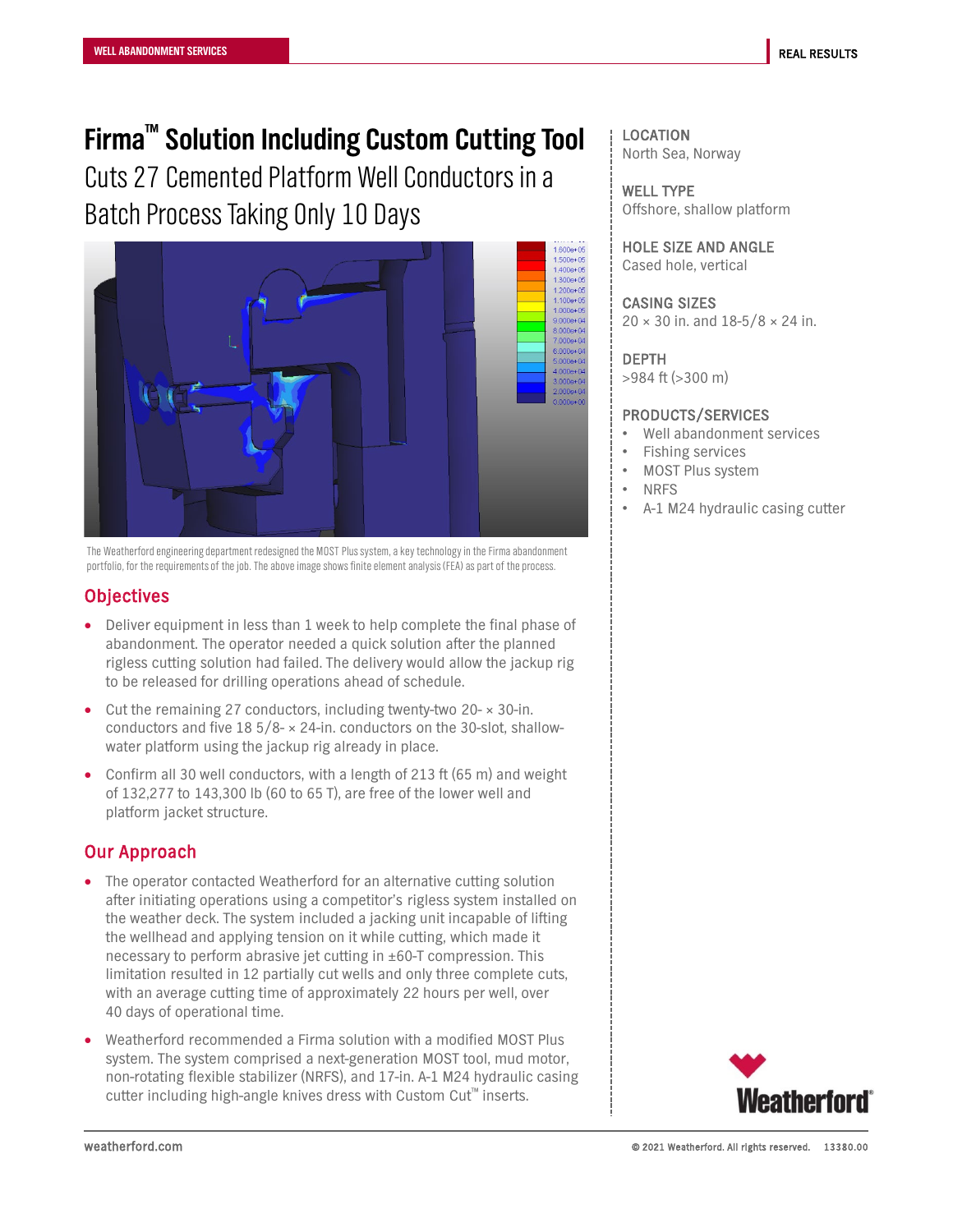# **Firma™ Solution Including Custom Cutting Tool**

Cuts 27 Cemented Platform Well Conductors in a Batch Process Taking Only 10 Days



The Weatherford engineering department redesigned the MOST Plus system, a key technology in the Firma abandonment portfolio, for the requirements of the job. The above image shows finite element analysis (FEA) as part of the process.

### **Objectives**

- Deliver equipment in less than 1 week to help complete the final phase of abandonment. The operator needed a quick solution after the planned rigless cutting solution had failed. The delivery would allow the jackup rig to be released for drilling operations ahead of schedule.
- Cut the remaining 27 conductors, including twenty-two 20- $\times$  30-in. conductors and five  $18\frac{5}{8}$  × 24-in. conductors on the 30-slot, shallowwater platform using the jackup rig already in place.
- Confirm all 30 well conductors, with a length of 213 ft (65 m) and weight of 132,277 to 143,300 lb (60 to 65 T), are free of the lower well and platform jacket structure.

## Our Approach

- The operator contacted Weatherford for an alternative cutting solution after initiating operations using a competitor's rigless system installed on the weather deck. The system included a jacking unit incapable of lifting the wellhead and applying tension on it while cutting, which made it necessary to perform abrasive jet cutting in ±60-T compression. This limitation resulted in 12 partially cut wells and only three complete cuts, with an average cutting time of approximately 22 hours per well, over 40 days of operational time.
- Weatherford recommended a Firma solution with a modified MOST Plus system. The system comprised a next-generation MOST tool, mud motor, non-rotating flexible stabilizer (NRFS), and 17-in. A-1 M24 hydraulic casing cutter including high-angle knives dress with Custom Cut™ inserts.

LOCATION North Sea, Norway

WELL TYPE Offshore, shallow platform

HOLE SIZE AND ANGLE Cased hole, vertical

CASING SIZES  $20 \times 30$  in. and  $18 - 5/8 \times 24$  in.

#### DEPTH

>984 ft (>300 m)

#### PRODUCTS/SERVICES

- Well abandonment services
- Fishing services
- MOST Plus system
- NRFS
- A-1 M24 hydraulic casing cutter